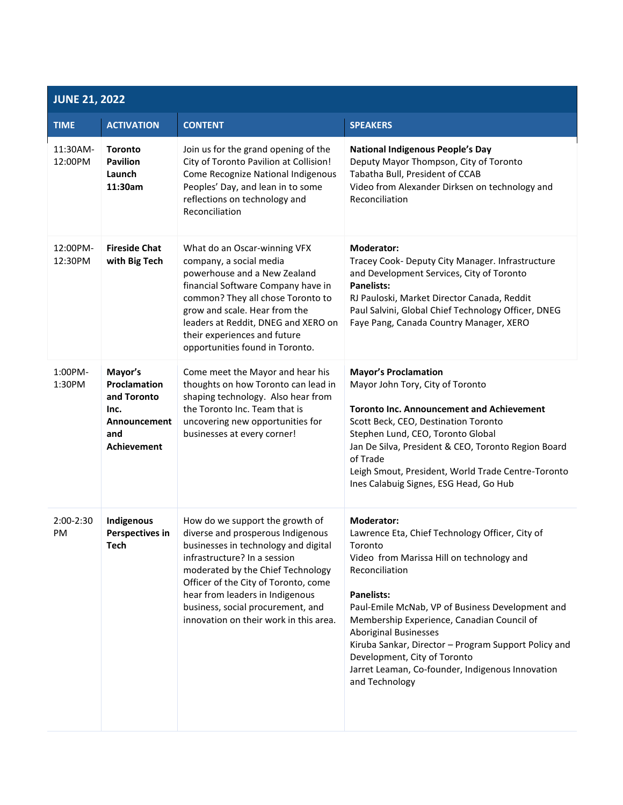| <b>JUNE 21, 2022</b> |                                                                                                    |                                                                                                                                                                                                                                                                                                                                             |                                                                                                                                                                                                                                                                                                                                                                                                                                                                     |  |  |
|----------------------|----------------------------------------------------------------------------------------------------|---------------------------------------------------------------------------------------------------------------------------------------------------------------------------------------------------------------------------------------------------------------------------------------------------------------------------------------------|---------------------------------------------------------------------------------------------------------------------------------------------------------------------------------------------------------------------------------------------------------------------------------------------------------------------------------------------------------------------------------------------------------------------------------------------------------------------|--|--|
| <b>TIME</b>          | <b>ACTIVATION</b>                                                                                  | <b>CONTENT</b>                                                                                                                                                                                                                                                                                                                              | <b>SPEAKERS</b>                                                                                                                                                                                                                                                                                                                                                                                                                                                     |  |  |
| 11:30AM-<br>12:00PM  | <b>Toronto</b><br><b>Pavilion</b><br>Launch<br>11:30am                                             | Join us for the grand opening of the<br>City of Toronto Pavilion at Collision!<br>Come Recognize National Indigenous<br>Peoples' Day, and lean in to some<br>reflections on technology and<br>Reconciliation                                                                                                                                | <b>National Indigenous People's Day</b><br>Deputy Mayor Thompson, City of Toronto<br>Tabatha Bull, President of CCAB<br>Video from Alexander Dirksen on technology and<br>Reconciliation                                                                                                                                                                                                                                                                            |  |  |
| 12:00PM-<br>12:30PM  | <b>Fireside Chat</b><br>with Big Tech                                                              | What do an Oscar-winning VFX<br>company, a social media<br>powerhouse and a New Zealand<br>financial Software Company have in<br>common? They all chose Toronto to<br>grow and scale. Hear from the<br>leaders at Reddit, DNEG and XERO on<br>their experiences and future<br>opportunities found in Toronto.                               | <b>Moderator:</b><br>Tracey Cook- Deputy City Manager. Infrastructure<br>and Development Services, City of Toronto<br><b>Panelists:</b><br>RJ Pauloski, Market Director Canada, Reddit<br>Paul Salvini, Global Chief Technology Officer, DNEG<br>Faye Pang, Canada Country Manager, XERO                                                                                                                                                                            |  |  |
| 1:00PM-<br>1:30PM    | Mayor's<br>Proclamation<br>and Toronto<br>Inc.<br><b>Announcement</b><br>and<br><b>Achievement</b> | Come meet the Mayor and hear his<br>thoughts on how Toronto can lead in<br>shaping technology. Also hear from<br>the Toronto Inc. Team that is<br>uncovering new opportunities for<br>businesses at every corner!                                                                                                                           | <b>Mayor's Proclamation</b><br>Mayor John Tory, City of Toronto<br><b>Toronto Inc. Announcement and Achievement</b><br>Scott Beck, CEO, Destination Toronto<br>Stephen Lund, CEO, Toronto Global<br>Jan De Silva, President & CEO, Toronto Region Board<br>of Trade<br>Leigh Smout, President, World Trade Centre-Toronto<br>Ines Calabuig Signes, ESG Head, Go Hub                                                                                                 |  |  |
| 2:00-2:30<br>PM      | Indigenous<br>Perspectives in<br><b>Tech</b>                                                       | How do we support the growth of<br>diverse and prosperous Indigenous<br>businesses in technology and digital<br>infrastructure? In a session<br>moderated by the Chief Technology<br>Officer of the City of Toronto, come<br>hear from leaders in Indigenous<br>business, social procurement, and<br>innovation on their work in this area. | <b>Moderator:</b><br>Lawrence Eta, Chief Technology Officer, City of<br>Toronto<br>Video from Marissa Hill on technology and<br>Reconciliation<br><b>Panelists:</b><br>Paul-Emile McNab, VP of Business Development and<br>Membership Experience, Canadian Council of<br><b>Aboriginal Businesses</b><br>Kiruba Sankar, Director - Program Support Policy and<br>Development, City of Toronto<br>Jarret Leaman, Co-founder, Indigenous Innovation<br>and Technology |  |  |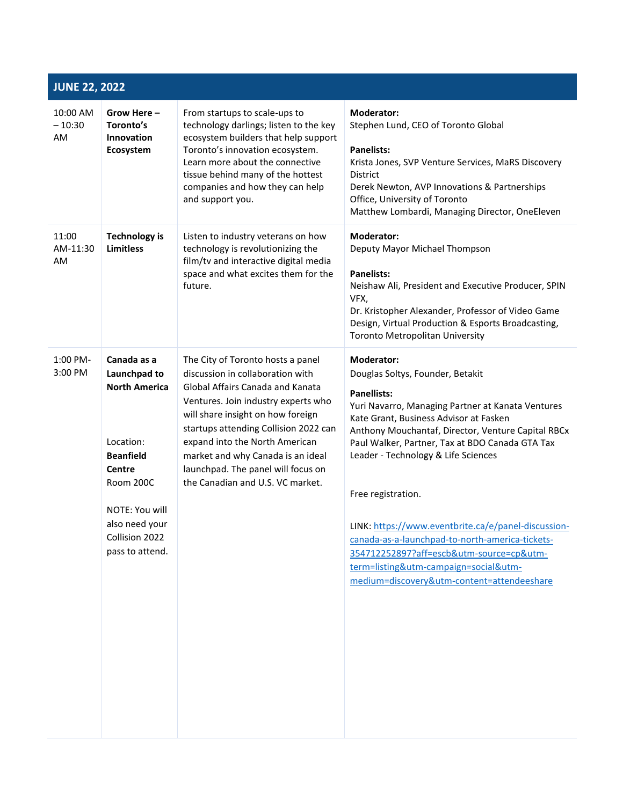| <b>JUNE 22, 2022</b>       |                                                                                                                                                                                                    |                                                                                                                                                                                                                                                                                                                                                                                 |                                                                                                                                                                                                                                                                                                                                                                                                                                                                                                                                                                                               |  |  |  |
|----------------------------|----------------------------------------------------------------------------------------------------------------------------------------------------------------------------------------------------|---------------------------------------------------------------------------------------------------------------------------------------------------------------------------------------------------------------------------------------------------------------------------------------------------------------------------------------------------------------------------------|-----------------------------------------------------------------------------------------------------------------------------------------------------------------------------------------------------------------------------------------------------------------------------------------------------------------------------------------------------------------------------------------------------------------------------------------------------------------------------------------------------------------------------------------------------------------------------------------------|--|--|--|
| 10:00 AM<br>$-10:30$<br>AM | Grow Here-<br>Toronto's<br><b>Innovation</b><br>Ecosystem                                                                                                                                          | From startups to scale-ups to<br>technology darlings; listen to the key<br>ecosystem builders that help support<br>Toronto's innovation ecosystem.<br>Learn more about the connective<br>tissue behind many of the hottest<br>companies and how they can help<br>and support you.                                                                                               | <b>Moderator:</b><br>Stephen Lund, CEO of Toronto Global<br><b>Panelists:</b><br>Krista Jones, SVP Venture Services, MaRS Discovery<br><b>District</b><br>Derek Newton, AVP Innovations & Partnerships<br>Office, University of Toronto<br>Matthew Lombardi, Managing Director, OneEleven                                                                                                                                                                                                                                                                                                     |  |  |  |
| 11:00<br>AM-11:30<br>AM    | <b>Technology is</b><br><b>Limitless</b>                                                                                                                                                           | Listen to industry veterans on how<br>technology is revolutionizing the<br>film/tv and interactive digital media<br>space and what excites them for the<br>future.                                                                                                                                                                                                              | <b>Moderator:</b><br>Deputy Mayor Michael Thompson<br><b>Panelists:</b><br>Neishaw Ali, President and Executive Producer, SPIN<br>VFX,<br>Dr. Kristopher Alexander, Professor of Video Game<br>Design, Virtual Production & Esports Broadcasting,<br>Toronto Metropolitan University                                                                                                                                                                                                                                                                                                          |  |  |  |
| 1:00 PM-<br>3:00 PM        | Canada as a<br>Launchpad to<br><b>North America</b><br>Location:<br><b>Beanfield</b><br><b>Centre</b><br><b>Room 200C</b><br>NOTE: You will<br>also need your<br>Collision 2022<br>pass to attend. | The City of Toronto hosts a panel<br>discussion in collaboration with<br>Global Affairs Canada and Kanata<br>Ventures. Join industry experts who<br>will share insight on how foreign<br>startups attending Collision 2022 can<br>expand into the North American<br>market and why Canada is an ideal<br>launchpad. The panel will focus on<br>the Canadian and U.S. VC market. | <b>Moderator:</b><br>Douglas Soltys, Founder, Betakit<br><b>Panellists:</b><br>Yuri Navarro, Managing Partner at Kanata Ventures<br>Kate Grant, Business Advisor at Fasken<br>Anthony Mouchantaf, Director, Venture Capital RBCx<br>Paul Walker, Partner, Tax at BDO Canada GTA Tax<br>Leader - Technology & Life Sciences<br>Free registration.<br>LINK: https://www.eventbrite.ca/e/panel-discussion-<br>canada-as-a-launchpad-to-north-america-tickets-<br>354712252897?aff=escb&utm-source=cp&utm-<br>term=listing&utm-campaign=social&utm-<br>medium=discovery&utm-content=attendeeshare |  |  |  |